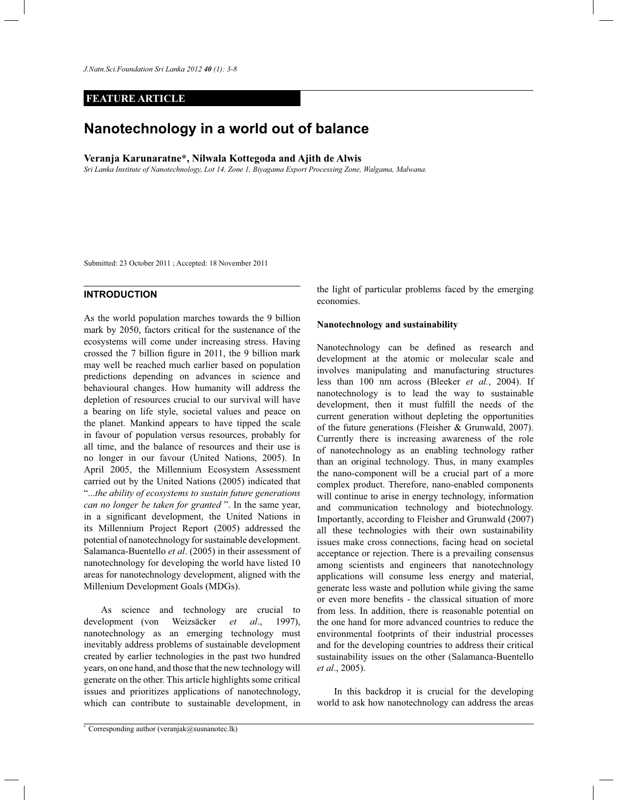*J.Natn.Sci.Foundation Sri Lanka 2012 40 (1): 3-8*

## **FEATURE ARTICLE**

# **Nanotechnology in a world out of balance**

**Veranja Karunaratne\*, Nilwala Kottegoda and Ajith de Alwis**

*Sri Lanka Institute of Nanotechnology, Lot 14, Zone 1, Biyagama Export Processing Zone, Walgama, Malwana.*

Submitted: 23 October 2011 ; Accepted: 18 November 2011

# **INTRODUCTION**

As the world population marches towards the 9 billion mark by 2050, factors critical for the sustenance of the ecosystems will come under increasing stress. Having crossed the 7 billion figure in 2011, the 9 billion mark may well be reached much earlier based on population predictions depending on advances in science and behavioural changes. How humanity will address the depletion of resources crucial to our survival will have a bearing on life style, societal values and peace on the planet. Mankind appears to have tipped the scale in favour of population versus resources, probably for all time, and the balance of resources and their use is no longer in our favour (United Nations, 2005). In April 2005, the Millennium Ecosystem Assessment carried out by the United Nations (2005) indicated that "...*the ability of ecosystems to sustain future generations can no longer be taken for granted* ". In the same year, in a significant development, the United Nations in its Millennium Project Report (2005) addressed the potential of nanotechnology for sustainable development. Salamanca-Buentello *et al*. (2005) in their assessment of nanotechnology for developing the world have listed 10 areas for nanotechnology development, aligned with the Millenium Development Goals (MDGs).

 As science and technology are crucial to development (von Weizsäcker *et al*., 1997), nanotechnology as an emerging technology must inevitably address problems of sustainable development created by earlier technologies in the past two hundred years, on one hand, and those that the new technology will generate on the other. This article highlights some critical issues and prioritizes applications of nanotechnology, which can contribute to sustainable development, in

the light of particular problems faced by the emerging economies.

#### **Nanotechnology and sustainability**

Nanotechnology can be defined as research and development at the atomic or molecular scale and involves manipulating and manufacturing structures less than 100 nm across (Bleeker *et al.*, 2004). If nanotechnology is to lead the way to sustainable development, then it must fulfill the needs of the current generation without depleting the opportunities of the future generations (Fleisher & Grunwald, 2007). Currently there is increasing awareness of the role of nanotechnology as an enabling technology rather than an original technology. Thus, in many examples the nano-component will be a crucial part of a more complex product. Therefore, nano-enabled components will continue to arise in energy technology, information and communication technology and biotechnology. Importantly, according to Fleisher and Grunwald (2007) all these technologies with their own sustainability issues make cross connections, facing head on societal acceptance or rejection. There is a prevailing consensus among scientists and engineers that nanotechnology applications will consume less energy and material, generate less waste and pollution while giving the same or even more benefits - the classical situation of more from less. In addition, there is reasonable potential on the one hand for more advanced countries to reduce the environmental footprints of their industrial processes and for the developing countries to address their critical sustainability issues on the other (Salamanca-Buentello *et al*., 2005).

 In this backdrop it is crucial for the developing world to ask how nanotechnology can address the areas

<sup>\*</sup> Corresponding author (veranjak@susnanotec.lk)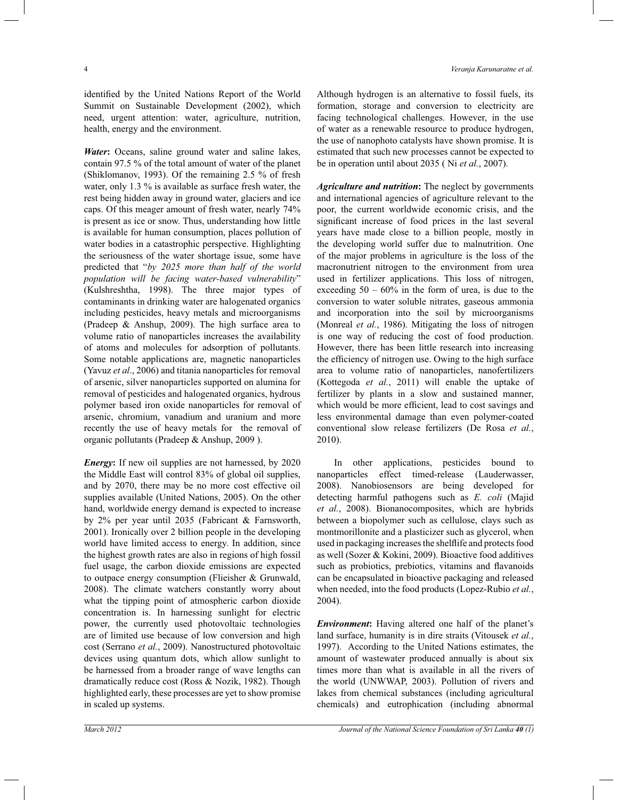identified by the United Nations Report of the World Summit on Sustainable Development (2002), which need, urgent attention: water, agriculture, nutrition, health, energy and the environment.

*Water*: Oceans, saline ground water and saline lakes, contain 97.5 % of the total amount of water of the planet (Shiklomanov, 1993). Of the remaining 2.5 % of fresh water, only 1.3 % is available as surface fresh water, the rest being hidden away in ground water, glaciers and ice caps. Of this meager amount of fresh water, nearly 74% is present as ice or snow. Thus, understanding how little is available for human consumption, places pollution of water bodies in a catastrophic perspective. Highlighting the seriousness of the water shortage issue, some have predicted that "*by 2025 more than half of the world population will be facing water-based vulnerability*" (Kulshreshtha, 1998). The three major types of contaminants in drinking water are halogenated organics including pesticides, heavy metals and microorganisms (Pradeep & Anshup, 2009). The high surface area to volume ratio of nanoparticles increases the availability of atoms and molecules for adsorption of pollutants. Some notable applications are, magnetic nanoparticles (Yavuz *et al*., 2006) and titania nanoparticles for removal of arsenic, silver nanoparticles supported on alumina for removal of pesticides and halogenated organics, hydrous polymer based iron oxide nanoparticles for removal of arsenic, chromium, vanadium and uranium and more recently the use of heavy metals for the removal of organic pollutants (Pradeep & Anshup, 2009 ).

*Energy*: If new oil supplies are not harnessed, by 2020 the Middle East will control 83% of global oil supplies, and by 2070, there may be no more cost effective oil supplies available (United Nations, 2005). On the other hand, worldwide energy demand is expected to increase by 2% per year until 2035 (Fabricant & Farnsworth, 2001). Ironically over 2 billion people in the developing world have limited access to energy. In addition, since the highest growth rates are also in regions of high fossil fuel usage, the carbon dioxide emissions are expected to outpace energy consumption (Flieisher & Grunwald, 2008). The climate watchers constantly worry about what the tipping point of atmospheric carbon dioxide concentration is. In harnessing sunlight for electric power, the currently used photovoltaic technologies are of limited use because of low conversion and high cost (Serrano *et al.*, 2009). Nanostructured photovoltaic devices using quantum dots, which allow sunlight to be harnessed from a broader range of wave lengths can dramatically reduce cost (Ross & Nozik, 1982). Though highlighted early, these processes are yet to show promise in scaled up systems.

Although hydrogen is an alternative to fossil fuels, its formation, storage and conversion to electricity are facing technological challenges. However, in the use of water as a renewable resource to produce hydrogen, the use of nanophoto catalysts have shown promise. It is estimated that such new processes cannot be expected to be in operation until about 2035 ( Ni *et al.*, 2007).

*Agriculture and nutrition***:** The neglect by governments and international agencies of agriculture relevant to the poor, the current worldwide economic crisis, and the significant increase of food prices in the last several years have made close to a billion people, mostly in the developing world suffer due to malnutrition. One of the major problems in agriculture is the loss of the macronutrient nitrogen to the environment from urea used in fertilizer applications. This loss of nitrogen, exceeding  $50 - 60\%$  in the form of urea, is due to the conversion to water soluble nitrates, gaseous ammonia and incorporation into the soil by microorganisms (Monreal *et al.*, 1986). Mitigating the loss of nitrogen is one way of reducing the cost of food production. However, there has been little research into increasing the efficiency of nitrogen use. Owing to the high surface area to volume ratio of nanoparticles, nanofertilizers (Kottegoda *et al.*, 2011) will enable the uptake of fertilizer by plants in a slow and sustained manner, which would be more efficient, lead to cost savings and less environmental damage than even polymer-coated conventional slow release fertilizers (De Rosa *et al.*, 2010).

 In other applications, pesticides bound to nanoparticles effect timed-release (Lauderwasser, 2008). Nanobiosensors are being developed for detecting harmful pathogens such as *E. coli* (Majid *et al.*, 2008). Bionanocomposites, which are hybrids between a biopolymer such as cellulose, clays such as montmorillonite and a plasticizer such as glycerol, when used in packaging increases the shelflife and protects food as well (Sozer & Kokini, 2009). Bioactive food additives such as probiotics, prebiotics, vitamins and flavanoids can be encapsulated in bioactive packaging and released when needed, into the food products (Lopez-Rubio *et al.*, 2004).

*Environment***:** Having altered one half of the planet's land surface, humanity is in dire straits (Vitousek *et al.*, 1997). According to the United Nations estimates, the amount of wastewater produced annually is about six times more than what is available in all the rivers of the world (UNWWAP, 2003). Pollution of rivers and lakes from chemical substances (including agricultural chemicals) and eutrophication (including abnormal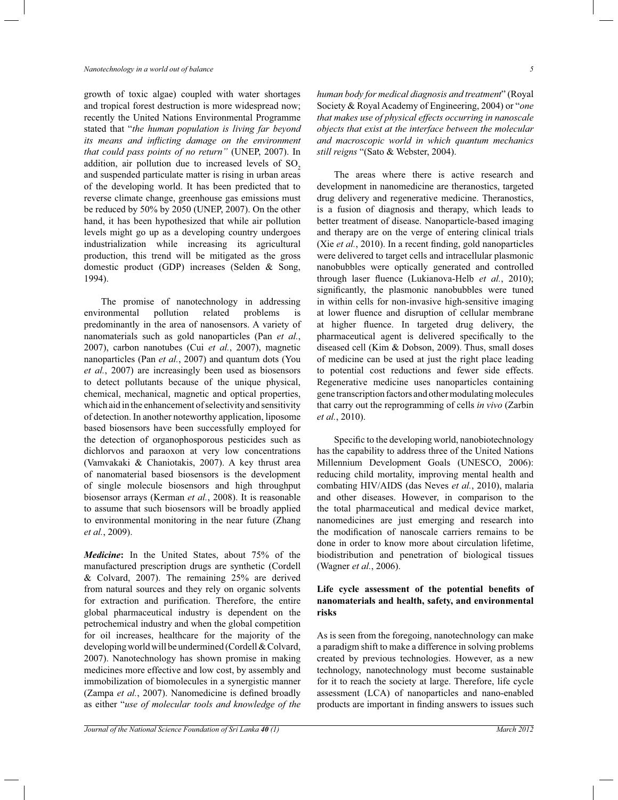growth of toxic algae) coupled with water shortages and tropical forest destruction is more widespread now; recently the United Nations Environmental Programme stated that "*the human population is living far beyond its means and inflicting damage on the environment that could pass points of no return"* (UNEP, 2007). In addition, air pollution due to increased levels of  $SO<sub>2</sub>$ and suspended particulate matter is rising in urban areas of the developing world. It has been predicted that to reverse climate change, greenhouse gas emissions must be reduced by 50% by 2050 (UNEP, 2007). On the other hand, it has been hypothesized that while air pollution levels might go up as a developing country undergoes industrialization while increasing its agricultural production, this trend will be mitigated as the gross domestic product (GDP) increases (Selden & Song, 1994).

 The promise of nanotechnology in addressing environmental pollution related problems is predominantly in the area of nanosensors. A variety of nanomaterials such as gold nanoparticles (Pan *et al.*, 2007), carbon nanotubes (Cui *et al.*, 2007), magnetic nanoparticles (Pan *et al.*, 2007) and quantum dots (You *et al.*, 2007) are increasingly been used as biosensors to detect pollutants because of the unique physical, chemical, mechanical, magnetic and optical properties, which aid in the enhancement of selectivity and sensitivity of detection. In another noteworthy application, liposome based biosensors have been successfully employed for the detection of organophosporous pesticides such as dichlorvos and paraoxon at very low concentrations (Vamvakaki & Chaniotakis, 2007). A key thrust area of nanomaterial based biosensors is the development of single molecule biosensors and high throughput biosensor arrays (Kerman *et al.*, 2008). It is reasonable to assume that such biosensors will be broadly applied to environmental monitoring in the near future (Zhang *et al.*, 2009).

*Medicine***:** In the United States, about 75% of the manufactured prescription drugs are synthetic (Cordell & Colvard, 2007). The remaining 25% are derived from natural sources and they rely on organic solvents for extraction and purification. Therefore, the entire global pharmaceutical industry is dependent on the petrochemical industry and when the global competition for oil increases, healthcare for the majority of the developing world will be undermined (Cordell & Colvard, 2007). Nanotechnology has shown promise in making medicines more effective and low cost, by assembly and immobilization of biomolecules in a synergistic manner (Zampa *et al.*, 2007). Nanomedicine is defined broadly as either "*use of molecular tools and knowledge of the* 

*Journal of the National Science Foundation of Sri Lanka 40 (1) March 2012* 

*human body for medical diagnosis and treatment*" (Royal Society & Royal Academy of Engineering, 2004) or "*one that makes use of physical effects occurring in nanoscale objects that exist at the interface between the molecular and macroscopic world in which quantum mechanics still reigns* "(Sato & Webster, 2004).

 The areas where there is active research and development in nanomedicine are theranostics, targeted drug delivery and regenerative medicine. Theranostics, is a fusion of diagnosis and therapy, which leads to better treatment of disease. Nanoparticle-based imaging and therapy are on the verge of entering clinical trials (Xie *et al.*, 2010). In a recent finding, gold nanoparticles were delivered to target cells and intracellular plasmonic nanobubbles were optically generated and controlled through laser fluence (Lukianova-Helb *et al.*, 2010); significantly, the plasmonic nanobubbles were tuned in within cells for non-invasive high-sensitive imaging at lower fluence and disruption of cellular membrane at higher fluence. In targeted drug delivery, the pharmaceutical agent is delivered specifically to the diseased cell (Kim & Dobson, 2009). Thus, small doses of medicine can be used at just the right place leading to potential cost reductions and fewer side effects. Regenerative medicine uses nanoparticles containing gene transcription factors and other modulating molecules that carry out the reprogramming of cells *in vivo* (Zarbin *et al.*, 2010).

 Specific to the developing world, nanobiotechnology has the capability to address three of the United Nations Millennium Development Goals (UNESCO, 2006): reducing child mortality, improving mental health and combating HIV/AIDS (das Neves *et al.*, 2010), malaria and other diseases. However, in comparison to the the total pharmaceutical and medical device market, nanomedicines are just emerging and research into the modification of nanoscale carriers remains to be done in order to know more about circulation lifetime, biodistribution and penetration of biological tissues (Wagner *et al.*, 2006).

# **Life cycle assessment of the potential benefits of nanomaterials and health, safety, and environmental risks**

As is seen from the foregoing, nanotechnology can make a paradigm shift to make a difference in solving problems created by previous technologies. However, as a new technology, nanotechnology must become sustainable for it to reach the society at large. Therefore, life cycle assessment (LCA) of nanoparticles and nano-enabled products are important in finding answers to issues such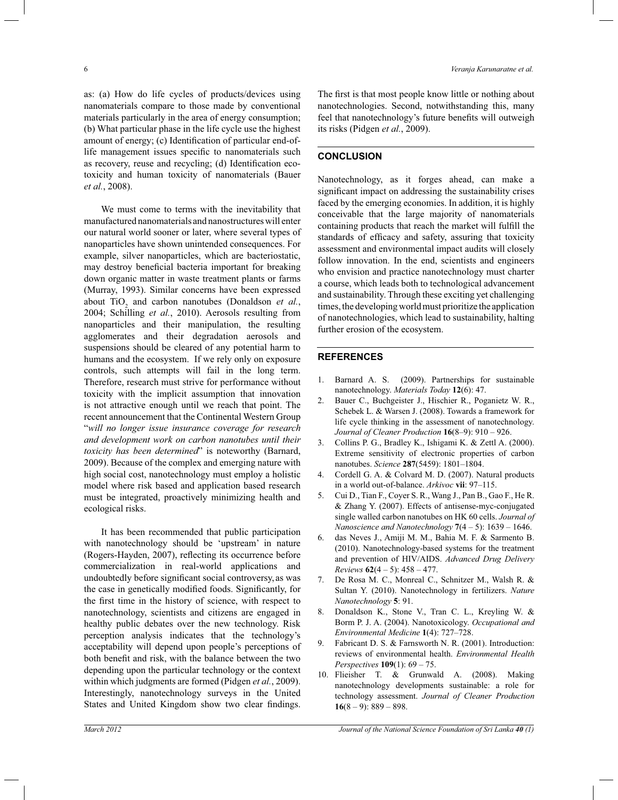as: (a) How do life cycles of products/devices using nanomaterials compare to those made by conventional materials particularly in the area of energy consumption; (b) What particular phase in the life cycle use the highest amount of energy; (c) Identification of particular end-oflife management issues specific to nanomaterials such as recovery, reuse and recycling; (d) Identification ecotoxicity and human toxicity of nanomaterials (Bauer *et al.*, 2008).

 We must come to terms with the inevitability that manufactured nanomaterials and nanostructures will enter our natural world sooner or later, where several types of nanoparticles have shown unintended consequences. For example, silver nanoparticles, which are bacteriostatic, may destroy beneficial bacteria important for breaking down organic matter in waste treatment plants or farms (Murray, 1993). Similar concerns have been expressed about  $\text{TiO}_2$  and carbon nanotubes (Donaldson *et al.*, 2004; Schilling *et al.*, 2010). Aerosols resulting from nanoparticles and their manipulation, the resulting agglomerates and their degradation aerosols and suspensions should be cleared of any potential harm to humans and the ecosystem. If we rely only on exposure controls, such attempts will fail in the long term. Therefore, research must strive for performance without toxicity with the implicit assumption that innovation is not attractive enough until we reach that point. The recent announcement that the Continental Western Group "*will no longer issue insurance coverage for research and development work on carbon nanotubes until their toxicity has been determined*" is noteworthy (Barnard, 2009). Because of the complex and emerging nature with high social cost, nanotechnology must employ a holistic model where risk based and application based research must be integrated, proactively minimizing health and ecological risks.

 It has been recommended that public participation with nanotechnology should be 'upstream' in nature (Rogers-Hayden, 2007), reflecting its occurrence before commercialization in real-world applications and undoubtedly before significant social controversy, as was the case in genetically modified foods. Significantly, for the first time in the history of science, with respect to nanotechnology, scientists and citizens are engaged in healthy public debates over the new technology. Risk perception analysis indicates that the technology's acceptability will depend upon people's perceptions of both benefit and risk, with the balance between the two depending upon the particular technology or the context within which judgments are formed (Pidgen *et al.*, 2009). Interestingly, nanotechnology surveys in the United States and United Kingdom show two clear findings.

The first is that most people know little or nothing about nanotechnologies. Second, notwithstanding this, many feel that nanotechnology's future benefits will outweigh its risks (Pidgen *et al.*, 2009).

## **CONCLUSION**

Nanotechnology, as it forges ahead, can make a significant impact on addressing the sustainability crises faced by the emerging economies. In addition, it is highly conceivable that the large majority of nanomaterials containing products that reach the market will fulfill the standards of efficacy and safety, assuring that toxicity assessment and environmental impact audits will closely follow innovation. In the end, scientists and engineers who envision and practice nanotechnology must charter a course, which leads both to technological advancement and sustainability. Through these exciting yet challenging times, the developing world must prioritize the application of nanotechnologies, which lead to sustainability, halting further erosion of the ecosystem.

## **REFERENCES**

- 1. Barnard A. S. (2009). Partnerships for sustainable nanotechnology. *Materials Today* **12**(6): 47.
- 2. Bauer C., Buchgeister J., Hischier R., Poganietz W. R., Schebek L. & Warsen J. (2008). Towards a framework for life cycle thinking in the assessment of nanotechnology. *Journal of Cleaner Production* **16**(8*–*9): 910 *–* 926.
- 3. Collins P. G., Bradley K., Ishigami K. & Zettl A. (2000). Extreme sensitivity of electronic properties of carbon nanotubes. *Science* **287**(5459): 1801*–*1804.
- 4. Cordell G. A. & Colvard M. D. (2007). Natural products in a world out-of-balance. *Arkivoc* **vii**: 97*–*115.
- 5. Cui D., Tian F., Coyer S. R., Wang J., Pan B., Gao F., He R. & Zhang Y. (2007). Effects of antisense-myc-conjugated single walled carbon nanotubes on HK 60 cells. *Journal of Nanoscience and Nanotechnology* **7**(4 *–* 5): 1639 *–* 1646.
- 6. das Neves J., Amiji M. M., Bahia M. F. & Sarmento B. (2010). Nanotechnology-based systems for the treatment and prevention of HIV/AIDS. *Advanced Drug Delivery Reviews* **62**(4 *–* 5): 458 *–* 477.
- 7. De Rosa M. C., Monreal C., Schnitzer M., Walsh R. & Sultan Y. (2010). Nanotechnology in fertilizers. *Nature Nanotechnology* **5**: 91.
- 8. Donaldson K., Stone V., Tran C. L., Kreyling W. & Borm P. J. A. (2004). Nanotoxicology. *Occupational and Environmental Medicine* **1**(4): 727*–*728.
- 9. Fabricant D. S. & Farnsworth N. R. (2001). Introduction: reviews of environmental health. *Environmental Health Perspectives* **109**(1): 69 *–* 75.
- 10. Flieisher T. & Grunwald A. (2008). Making nanotechnology developments sustainable: a role for technology assessment. *Journal of Cleaner Production* **16**(8 *–* 9): 889 *–* 898.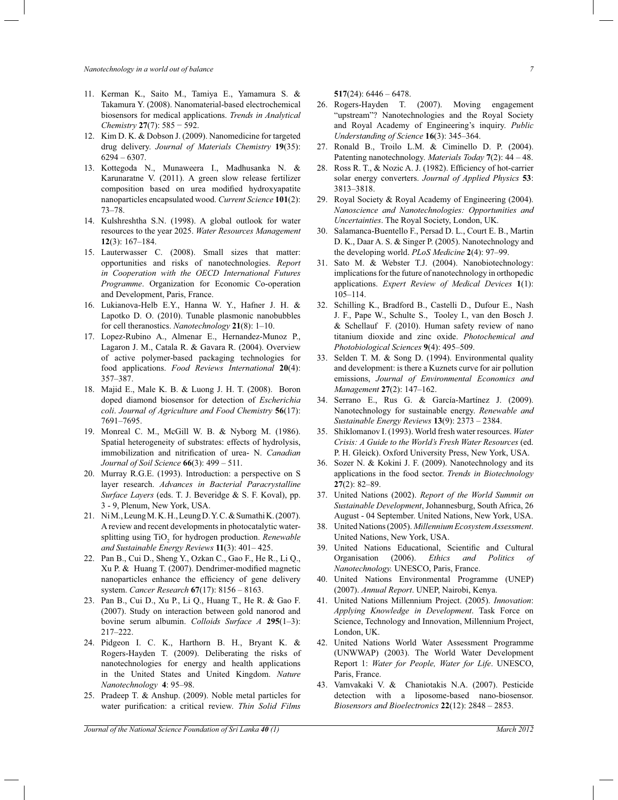*Nanotechnology in a world out of balance 7*

- 11. Kerman K., Saito M., Tamiya E., Yamamura S. & Takamura Y. (2008). Nanomaterial-based electrochemical biosensors for medical applications. *Trends in Analytical Chemistry* **27**(7): 585 − 592.
- 12. Kim D. K. & Dobson J. (2009). Nanomedicine for targeted drug delivery. *Journal of Materials Chemistry* **19**(35): 6294 *–* 6307.
- 13. Kottegoda N., Munaweera I., Madhusanka N. & Karunaratne V. (2011). A green slow release fertilizer composition based on urea modified hydroxyapatite nanoparticles encapsulated wood. *Current Science* **101**(2): 73*–*78.
- 14. Kulshreshtha S.N. (1998). A global outlook for water resources to the year 2025. *Water Resources Management* **12**(3): 167–184.
- 15. Lauterwasser C. (2008). Small sizes that matter: opportunities and risks of nanotechnologies. *Report in Cooperation with the OECD International Futures Programme*. Organization for Economic Co-operation and Development, Paris, France.
- 16. Lukianova-Helb E.Y., Hanna W. Y., Hafner J. H. & Lapotko D. O. (2010). Tunable plasmonic nanobubbles for cell theranostics. *Nanotechnology* **21**(8): 1*–*10.
- 17. Lopez-Rubino A., Almenar E., Hernandez-Munoz P., Lagaron J. M., Catala R. & Gavara R. (2004). Overview of active polymer-based packaging technologies for food applications. *Food Reviews International* **20**(4): 357*–*387.
- 18. Majid E., Male K. B. & Luong J. H. T. (2008). Boron doped diamond biosensor for detection of *Escherichia coli*. *Journal of Agriculture and Food Chemistry* **56**(17): 7691–7695.
- 19. Monreal C. M., McGill W. B. & Nyborg M. (1986). Spatial heterogeneity of substrates: effects of hydrolysis, immobilization and nitrification of urea- N. *Canadian Journal of Soil Science* **66**(3): 499 *–* 511.
- 20. Murray R.G.E. (1993). Introduction: a perspective on S layer research. *Advances in Bacterial Paracrystalline Surface Layers* (eds. T. J. Beveridge & S. F. Koval), pp. 3 - 9, Plenum, New York, USA.
- 21. Ni M., Leung M. K. H., Leung D. Y. C. & Sumathi K. (2007). A review and recent developments in photocatalytic watersplitting using TiO<sub>2</sub> for hydrogen production. *Renewable and Sustainable Energy Reviews* **11**(3): 401*–* 425.
- 22. Pan B., Cui D., Sheng Y., Ozkan C., Gao F., He R., Li Q., Xu P. & Huang T. (2007). Dendrimer-modified magnetic nanoparticles enhance the efficiency of gene delivery system. *Cancer Research* **67**(17): 8156 *–* 8163.
- 23. Pan B., Cui D., Xu P., Li Q., Huang T., He R. & Gao F. (2007). Study on interaction between gold nanorod and bovine serum albumin. *Colloids Surface A* **295**(1*–*3): 217*–*222.
- 24. Pidgeon I. C. K., Harthorn B. H., Bryant K. & Rogers-Hayden T. (2009). Deliberating the risks of nanotechnologies for energy and health applications in the United States and United Kingdom. *Nature Nanotechnology* **4**: 95*–*98.
- 25. Pradeep T. & Anshup. (2009). Noble metal particles for water purification: a critical review. *Thin Solid Films*

**517**(24): 6446 *–* 6478.

- 26. Rogers-Hayden T. (2007). Moving engagement "upstream"? Nanotechnologies and the Royal Society and Royal Academy of Engineering's inquiry. *Public Understanding of Science* **16**(3): 345*–*364.
- 27. Ronald B., Troilo L.M. & Ciminello D. P. (2004). Patenting nanotechnology. *Materials Today* **7**(2): 44 *–* 48.
- 28. Ross R. T., & Nozic A. J. (1982). Efficiency of hot-carrier solar energy converters. *Journal of Applied Physics* **53**: 3813*–*3818.
- 29. Royal Society & Royal Academy of Engineering (2004). *Nanoscience and Nanotechnologies: Opportunities and Uncertainties*. The Royal Society, London, UK.
- 30. Salamanca-Buentello F., Persad D. L., Court E. B., Martin D. K., Daar A. S. & Singer P. (2005). Nanotechnology and the developing world. *PLoS Medicine* **2**(4): 97*–*99.
- 31. Sato M. & Webster T.J. (2004). Nanobiotechnology: implications for the future of nanotechnology in orthopedic applications. *Expert Review of Medical Devices* **1**(1): 105–114.
- 32. Schilling K., Bradford B., Castelli D., Dufour E., Nash J. F., Pape W., Schulte S., Tooley I., van den Bosch J. & Schellauf F. (2010). Human safety review of nano titanium dioxide and zinc oxide. *Photochemical and Photobiological Sciences* **9**(4): 495*–*509.
- 33. Selden T. M. & Song D. (1994). Environmental quality and development: is there a Kuznets curve for air pollution emissions, *Journal of Environmental Economics and Management* **27**(2): 147*–*162.
- 34. Serrano E., Rus G. & García-Martínez J. (2009). Nanotechnology for sustainable energy. *Renewable and Sustainable Energy Reviews* **13**(9): 2373 *–* 2384.
- 35. Shiklomanov I. (1993). World fresh water resources. *Water Crisis: A Guide to the World's Fresh Water Resources* (ed. P. H. Gleick). Oxford University Press, New York, USA.
- 36. Sozer N. & Kokini J. F. (2009). Nanotechnology and its applications in the food sector. *Trends in Biotechnology*  **27**(2): 82*–*89.
- 37. United Nations (2002). *Report of the World Summit on Sustainable Development*, Johannesburg, South Africa, 26 August - 04 September. United Nations, New York, USA.
- 38. United Nations (2005). *Millennium Ecosystem Assessment*. United Nations, New York, USA.
- 39. United Nations Educational, Scientific and Cultural Organisation (2006). *Ethics and Politics of Nanotechnology.* UNESCO, Paris, France.
- 40. United Nations Environmental Programme (UNEP) (2007). *Annual Report*. UNEP, Nairobi, Kenya.
- 41. United Nations Millennium Project. (2005). *Innovation*: *Applying Knowledge in Development*. Task Force on Science, Technology and Innovation, Millennium Project, London, UK.
- 42. United Nations World Water Assessment Programme (UNWWAP) (2003). The World Water Development Report 1: *Water for People, Water for Life*. UNESCO, Paris, France.
- 43. Vamvakaki V. & Chaniotakis N.A. (2007). Pesticide detection with a liposome-based nano-biosensor. *Biosensors and Bioelectronics* **22**(12): 2848 *–* 2853.